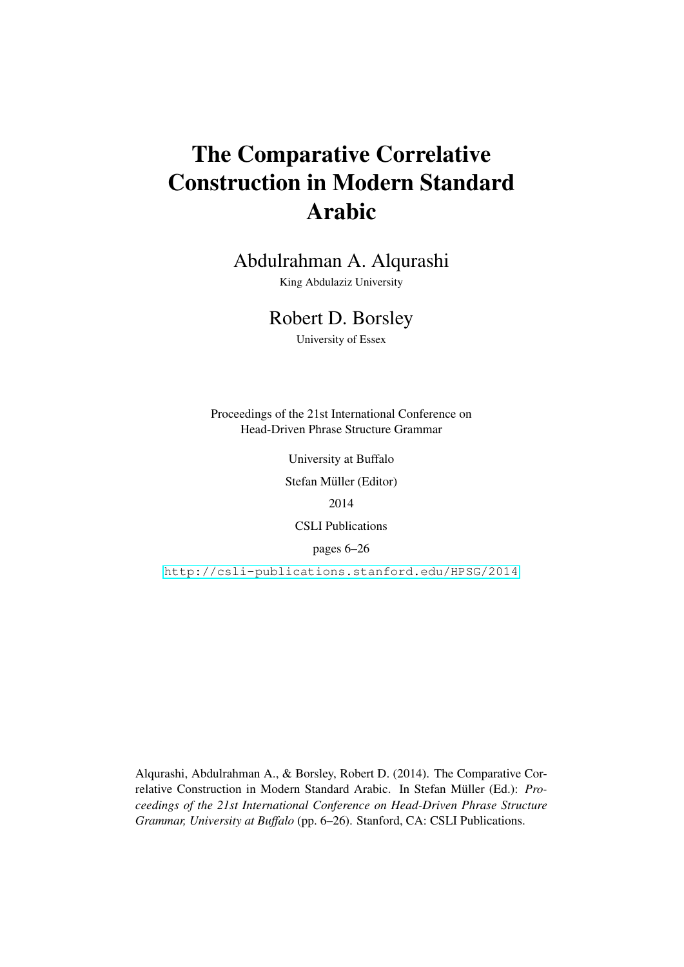# The Comparative Correlative Construction in Modern Standard Arabic

Abdulrahman A. Alqurashi

King Abdulaziz University

# Robert D. Borsley

University of Essex

Proceedings of the 21st International Conference on Head-Driven Phrase Structure Grammar

University at Buffalo

Stefan Müller (Editor)

2014

CSLI Publications

pages 6–26

<http://csli-publications.stanford.edu/HPSG/2014>

Alqurashi, Abdulrahman A., & Borsley, Robert D. (2014). The Comparative Correlative Construction in Modern Standard Arabic. In Stefan Müller (Ed.): Pro*ceedings of the 21st International Conference on Head-Driven Phrase Structure Grammar, University at Buffalo* (pp. 6–26). Stanford, CA: CSLI Publications.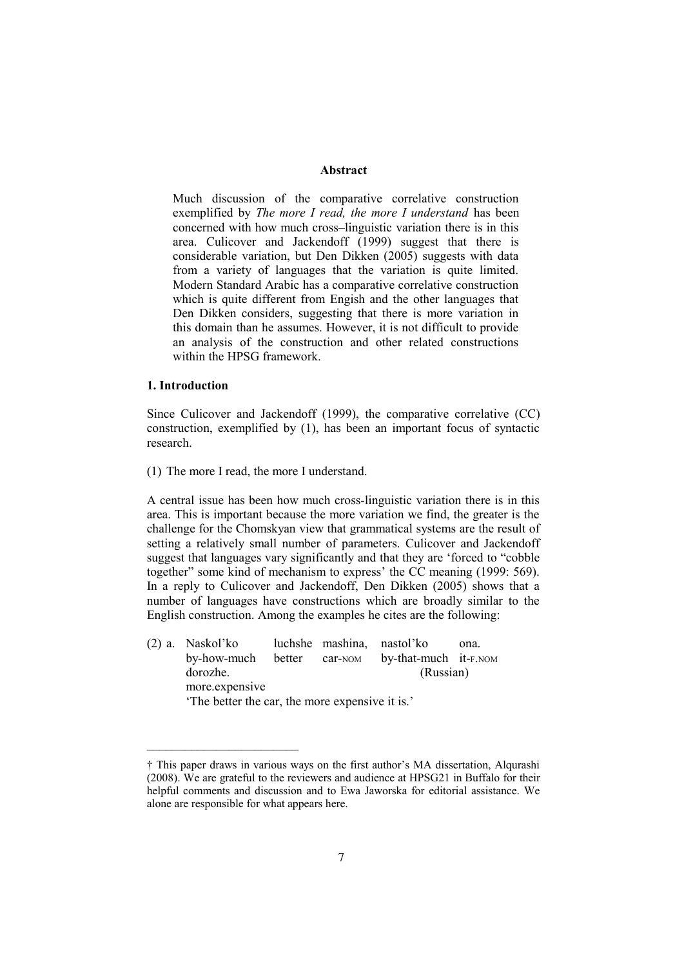# **Abstract**

Much discussion of the comparative correlative construction exemplified by *The more I read, the more I understand* has been concerned with how much cross–linguistic variation there is in this area. Culicover and Jackendoff (1999) suggest that there is considerable variation, but Den Dikken (2005) suggests with data from a variety of languages that the variation is quite limited. Modern Standard Arabic has a comparative correlative construction which is quite different from Engish and the other languages that Den Dikken considers, suggesting that there is more variation in this domain than he assumes. However, it is not difficult to provide an analysis of the construction and other related constructions within the HPSG framework.

# **1. Introduction**

Since Culicover and Jackendoff (1999), the comparative correlative (CC) construction, exemplified by (1), has been an important focus of syntactic research.

(1) The more I read, the more I understand.

 $\mathcal{L}=\mathcal{L}^{\mathcal{L}}$ 

A central issue has been how much cross-linguistic variation there is in this area. This is important because the more variation we find, the greater is the challenge for the Chomskyan view that grammatical systems are the result of setting a relatively small number of parameters. Culicover and Jackendoff suggest that languages vary significantly and that they are 'forced to "cobble together" some kind of mechanism to express' the CC meaning (1999: 569). In a reply to Culicover and Jackendoff, Den Dikken (2005) shows that a number of languages have constructions which are broadly similar to the English construction. Among the examples he cites are the following:

(2) a. Naskol'ko luchshe mashina, nastol'ko ona. by-how-much better car-NOM by-that-much it-F.NOM dorozhe. (Russian) more.expensive 'The better the car, the more expensive it is.'

<sup>†</sup> This paper draws in various ways on the first author's MA dissertation, Alqurashi (2008). We are grateful to the reviewers and audience at HPSG21 in Buffalo for their helpful comments and discussion and to Ewa Jaworska for editorial assistance. We alone are responsible for what appears here.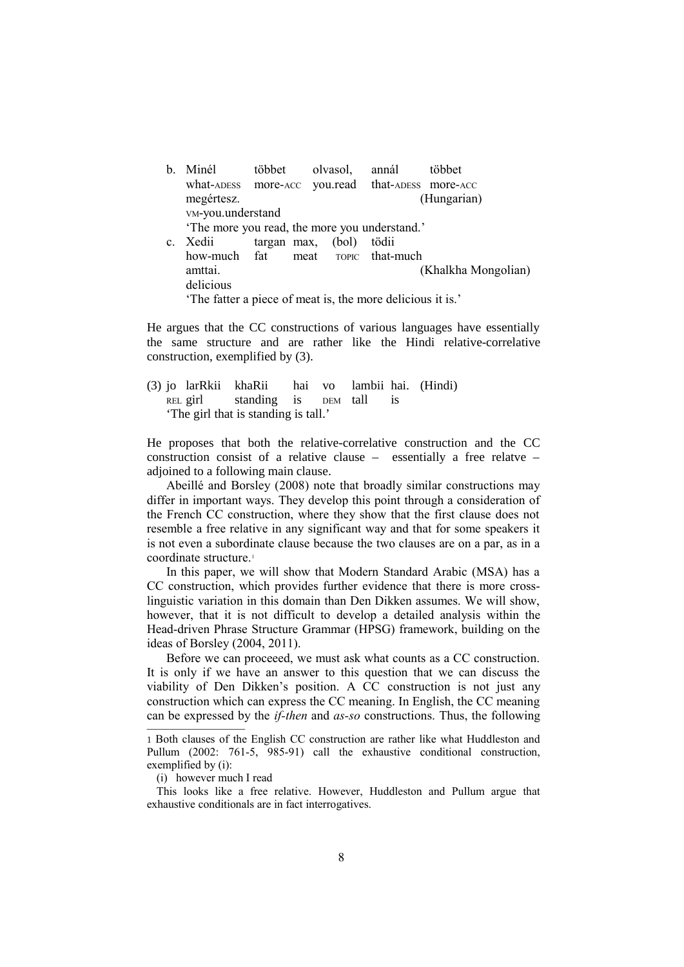b. Minél többet olvasol, annál többet what-ADESS more-ACC you.read that-ADESS more-ACC megértesz. (Hungarian) VM-you.understand 'The more you read, the more you understand.' c. Xedii targan max, (bol) tödii how-much fat meat TOPIC that-much amttai. (Khalkha Mongolian) delicious 'The fatter a piece of meat is, the more delicious it is.'

He argues that the CC constructions of various languages have essentially the same structure and are rather like the Hindi relative-correlative construction, exemplified by (3).

(3) jo larRkii khaRii hai vo lambii hai. (Hindi) REL girl standing is DEM tall is 'The girl that is standing is tall.'

He proposes that both the relative-correlative construction and the CC construction consist of a relative clause – essentially a free relatve – adjoined to a following main clause.

Abeillé and Borsley (2008) note that broadly similar constructions may differ in important ways. They develop this point through a consideration of the French CC construction, where they show that the first clause does not resemble a free relative in any significant way and that for some speakers it is not even a subordinate clause because the two clauses are on a par, as in a coordinate structure.<sup>1</sup>

In this paper, we will show that Modern Standard Arabic (MSA) has a CC construction, which provides further evidence that there is more crosslinguistic variation in this domain than Den Dikken assumes. We will show, however, that it is not difficult to develop a detailed analysis within the Head-driven Phrase Structure Grammar (HPSG) framework, building on the ideas of Borsley (2004, 2011).

Before we can proceeed, we must ask what counts as a CC construction. It is only if we have an answer to this question that we can discuss the viability of Den Dikken's position. A CC construction is not just any construction which can express the CC meaning. In English, the CC meaning can be expressed by the *if-then* and *as-so* constructions. Thus, the following

<sup>1</sup> Both clauses of the English CC construction are rather like what Huddleston and Pullum (2002: 761-5, 985-91) call the exhaustive conditional construction, exemplified by (i):

<sup>(</sup>i) however much I read

This looks like a free relative. However, Huddleston and Pullum argue that exhaustive conditionals are in fact interrogatives.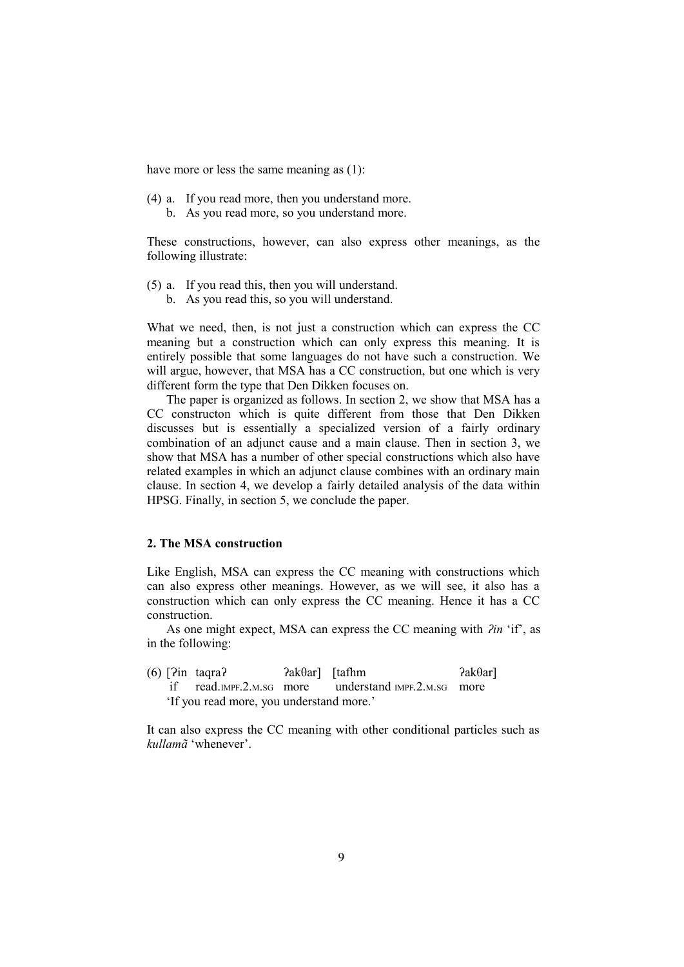have more or less the same meaning as  $(1)$ :

- (4) a. If you read more, then you understand more.
	- b. As you read more, so you understand more.

These constructions, however, can also express other meanings, as the following illustrate:

- (5) a. If you read this, then you will understand.
	- b. As you read this, so you will understand.

What we need, then, is not just a construction which can express the CC meaning but a construction which can only express this meaning. It is entirely possible that some languages do not have such a construction. We will argue, however, that MSA has a CC construction, but one which is very different form the type that Den Dikken focuses on.

The paper is organized as follows. In section 2, we show that MSA has a CC constructon which is quite different from those that Den Dikken discusses but is essentially a specialized version of a fairly ordinary combination of an adjunct cause and a main clause. Then in section 3, we show that MSA has a number of other special constructions which also have related examples in which an adjunct clause combines with an ordinary main clause. In section 4, we develop a fairly detailed analysis of the data within HPSG. Finally, in section 5, we conclude the paper.

# **2. The MSA construction**

Like English, MSA can express the CC meaning with constructions which can also express other meanings. However, as we will see, it also has a construction which can only express the CC meaning. Hence it has a CC construction.

As one might expect, MSA can express the CC meaning with *ʔin* 'if', as in the following:

(6)  $\lceil 2 \text{in } \text{tagra?} 2 \text{ak@ar} \rceil$   $\lceil \text{tafhm} \rceil$   $2 \text{ak@ar} \rceil$ if read IMPF  $2 \text{ MSG}$  more understand IMPF  $2 \text{ MSG}$  more 'If you read more, you understand more.'

It can also express the CC meaning with other conditional particles such as *kullamã* 'whenever'.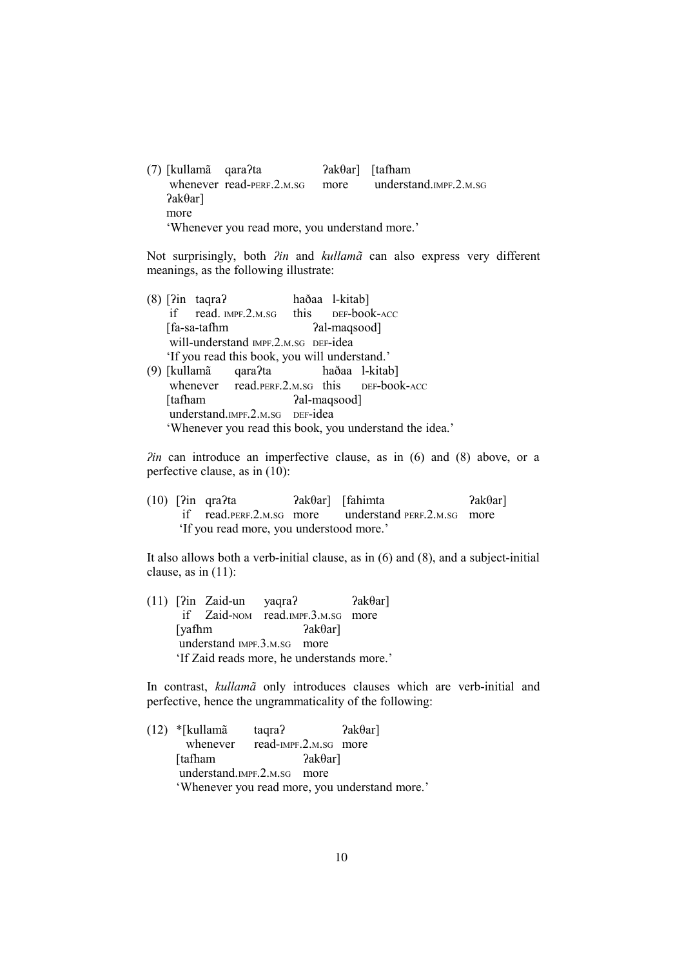(7) [kullamã qaraʔta ʔakθar] [tafham whenever read-PERF.2.M.SG more understand.IMPF.2.M.SG ʔakθar] more 'Whenever you read more, you understand more.'

Not surprisingly, both *ʔin* and *kullamã* can also express very different meanings, as the following illustrate:

(8) [ʔin taqraʔ haðaa l-kitab] if read. IMPF.2.M.SG this DEF-book-ACC [fa-sa-tafhm  $a$ ]-maqsood] will-understand IMPF.2.M.SG DEF-idea 'If you read this book, you will understand.' (9) [kullamã qaraʔta haðaa l-kitab] whenever read.PERF.2.M.SG this DEF-book-ACC [tafham  $a$ al-maqsood] understand.IMPF.2.M.SG DEF-idea 'Whenever you read this book, you understand the idea.'

*<i>Pin* can introduce an imperfective clause, as in (6) and (8) above, or a perfective clause, as in (10):

(10)  $\lceil 2in \text{qra2ta} \rceil$   $\lceil 2ak\theta \rceil$   $\lceil 3kh\theta \rceil$  if read.PERF.2.M.SG more understand PERF.2.M.SG more 'If you read more, you understood more.'

It also allows both a verb-initial clause, as in (6) and (8), and a subject-initial clause, as in (11):

(11)  $\lceil 2in Zaid-un \nvert\n$  vaqra $\lceil 2 \rceil$   $\lceil 2ak\theta ar \rceil$  if Zaid-NOM read.IMPF.3.M.SG more [yafhm  $?ak\theta$ ar] understand IMPF.3.M.SG more 'If Zaid reads more, he understands more.'

In contrast, *kullamã* only introduces clauses which are verb-initial and perfective, hence the ungrammaticality of the following:

(12) \*[kullamã taqra?  $\qquad \qquad$   $2a\&\theta$ ar] whenever read-IMPF.2.M.SG more [tafham ʔakθar] understand.IMPF.2.M.SG more 'Whenever you read more, you understand more.'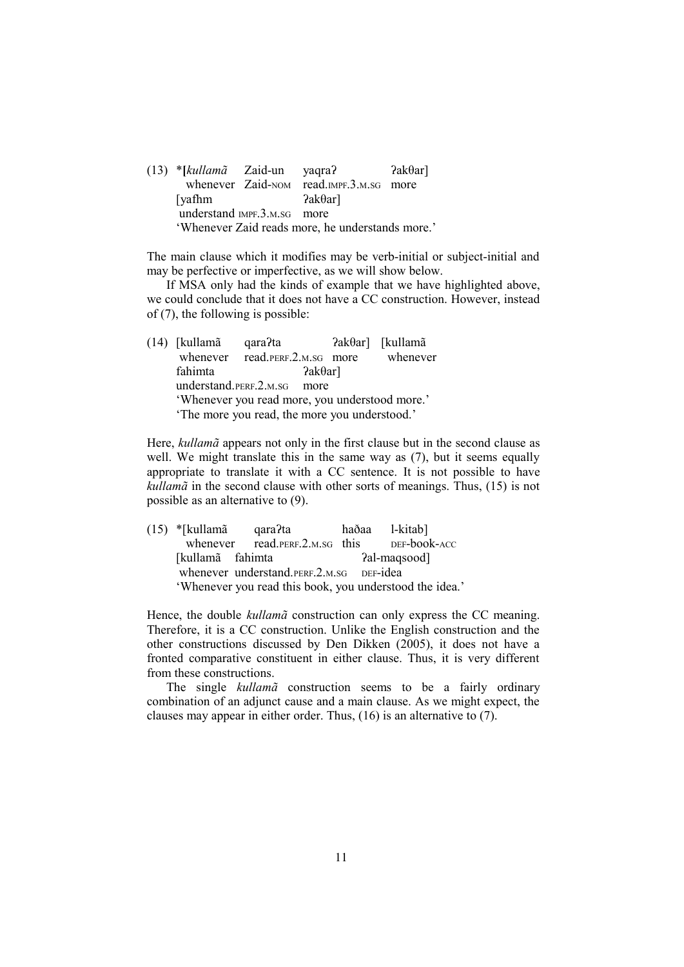|                                                  | $(13)$ *[kullam $\tilde{a}$ Zaid-un yaqra?] |  |                                         | $?ak\thetaar]$ |
|--------------------------------------------------|---------------------------------------------|--|-----------------------------------------|----------------|
|                                                  |                                             |  | whenever Zaid-NOM read.IMPF.3.M.SG more |                |
|                                                  | [yafhm]                                     |  | $2ak\theta$ ar                          |                |
|                                                  | understand IMPF.3.M.SG more                 |  |                                         |                |
| 'Whenever Zaid reads more, he understands more.' |                                             |  |                                         |                |

The main clause which it modifies may be verb-initial or subject-initial and may be perfective or imperfective, as we will show below.

If MSA only had the kinds of example that we have highlighted above, we could conclude that it does not have a CC construction. However, instead of (7), the following is possible:

(14) [kullamã qaraʔta ʔakθar] [kullamã whenever read.PERF.2.M.SG more whenever fahimta ?akθar] understand.PERF.2.M.SG more 'Whenever you read more, you understood more.' 'The more you read, the more you understood.'

Here, *kullamã* appears not only in the first clause but in the second clause as well. We might translate this in the same way as  $(7)$ , but it seems equally appropriate to translate it with a CC sentence. It is not possible to have *kullamã* in the second clause with other sorts of meanings. Thus, (15) is not possible as an alternative to (9).

(15) \*[kullamã qaraʔta haðaa l-kitab] whenever read.PERF.2.M.SG this DEF-book-ACC [kullamã fahimta *?al-maqsood]* whenever understand.PERF.2.M.SG DEF-idea 'Whenever you read this book, you understood the idea.'

Hence, the double *kullamã* construction can only express the CC meaning. Therefore, it is a CC construction. Unlike the English construction and the other constructions discussed by Den Dikken (2005), it does not have a fronted comparative constituent in either clause. Thus, it is very different from these constructions.

The single *kullamã* construction seems to be a fairly ordinary combination of an adjunct cause and a main clause. As we might expect, the clauses may appear in either order. Thus, (16) is an alternative to (7).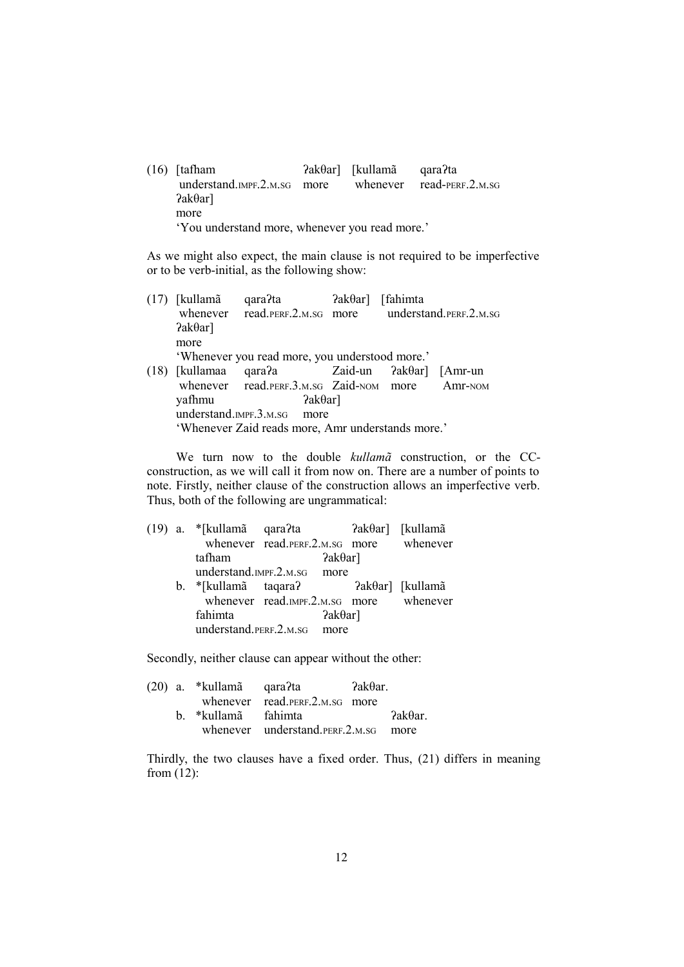(16) [tafham ʔakθar] [kullamã qaraʔta understand.IMPF.2.M.SG more whenever read-PERF.2.M.SG ʔakθar] more 'You understand more, whenever you read more.'

As we might also expect, the main clause is not required to be imperfective or to be verb-initial, as the following show:

| (17) | [kullamã                                          | qara?ta                                               | $?ak\thetaar]$ | [fahimta] |         |
|------|---------------------------------------------------|-------------------------------------------------------|----------------|-----------|---------|
|      |                                                   | whenever read.PERF.2.M.SG more understand.PERF.2.M.SG |                |           |         |
|      | $2ak\thetaar$ ]                                   |                                                       |                |           |         |
|      | more                                              |                                                       |                |           |         |
|      |                                                   | 'Whenever you read more, you understood more.'        |                |           |         |
| (18) | [kullamaa                                         | $qara2a$ Zaid-un $2ak\theta ar$ [Amr-un]              |                |           |         |
|      |                                                   | whenever read. PERF. 3.M. SG Zaid-NOM more            |                |           | Amr-NOM |
|      | yafhmu                                            | $?ak\thetaar]$                                        |                |           |         |
|      |                                                   | understand.IMPF.3.M.SG more                           |                |           |         |
|      | 'Whenever Zaid reads more, Amr understands more.' |                                                       |                |           |         |

We turn now to the double *kullamã* construction, or the CCconstruction, as we will call it from now on. There are a number of points to note. Firstly, neither clause of the construction allows an imperfective verb. Thus, both of the following are ungrammatical:

|  |                        | whenever read. PERF. 2.M. SG more whenever |                  |
|--|------------------------|--------------------------------------------|------------------|
|  | tafham                 | $2ak\theta$ ar]                            |                  |
|  |                        | understand.IMPF.2.M.SG more                |                  |
|  |                        | b. *[kullamã taqara?                       | ?akθar] [kullamã |
|  |                        | whenever read.IMPF.2.M.sG more whenever    |                  |
|  | fahimta                | $2ak\thetaar$ ]                            |                  |
|  | understand.PERF.2.M.SG | more                                       |                  |

Secondly, neither clause can appear without the other:

|  | (20) a. *kullamã qara?ta |                                         | ?akθar. |                |
|--|--------------------------|-----------------------------------------|---------|----------------|
|  |                          | whenever read. PERF. 2.M. SG more       |         |                |
|  | b *kullamã fahimta       |                                         |         | $2ak\theta$ ar |
|  |                          | whenever understand. PERF. 2.M. SG more |         |                |

Thirdly, the two clauses have a fixed order. Thus, (21) differs in meaning from  $(12)$ :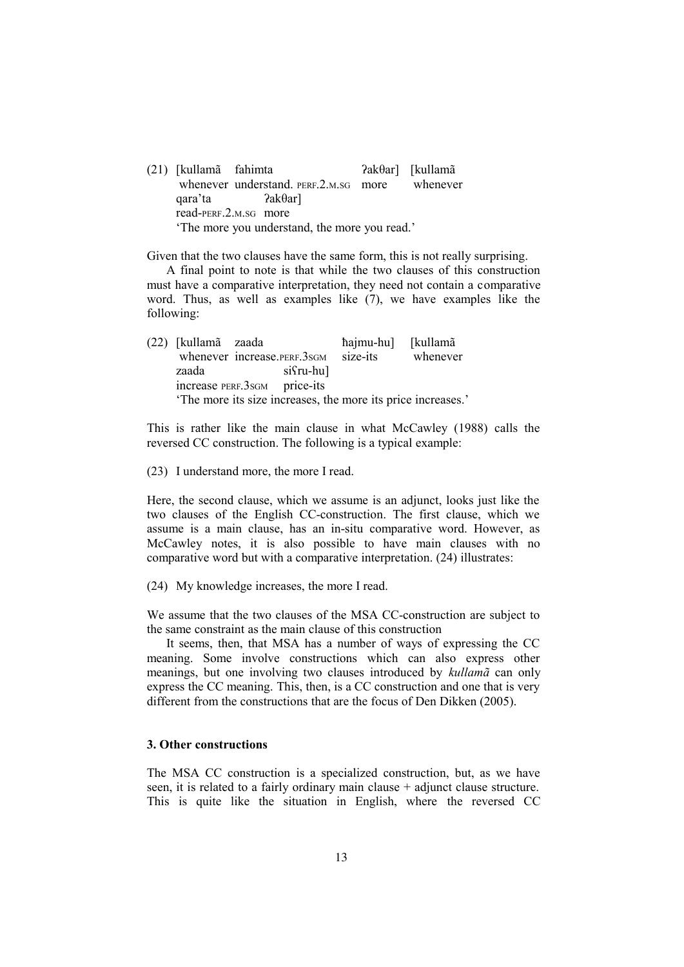(21) [kullamã fahimta ʔakθar] [kullamã whenever understand. PERF.2.M.SG more whenever qara'ta ʔakθar] read-PERF.2.M.SG more 'The more you understand, the more you read.'

Given that the two clauses have the same form, this is not really surprising.

A final point to note is that while the two clauses of this construction must have a comparative interpretation, they need not contain a comparative word. Thus, as well as examples like (7), we have examples like the following:

| (22) [kullamã zaada                                         |  |                               | hajmu-hu] [kullamã |          |
|-------------------------------------------------------------|--|-------------------------------|--------------------|----------|
|                                                             |  | whenever increase. PERF. 3sGM | size-its           | whenever |
| zaada                                                       |  | $s$ i $\{ru-hu\}$             |                    |          |
| increase PERF.3sGM price-its                                |  |                               |                    |          |
| The more its size increases, the more its price increases.' |  |                               |                    |          |

This is rather like the main clause in what McCawley (1988) calls the reversed CC construction. The following is a typical example:

(23) I understand more, the more I read.

Here, the second clause, which we assume is an adjunct, looks just like the two clauses of the English CC-construction. The first clause, which we assume is a main clause, has an in-situ comparative word. However, as McCawley notes, it is also possible to have main clauses with no comparative word but with a comparative interpretation. (24) illustrates:

(24) My knowledge increases, the more I read.

We assume that the two clauses of the MSA CC-construction are subject to the same constraint as the main clause of this construction

It seems, then, that MSA has a number of ways of expressing the CC meaning. Some involve constructions which can also express other meanings, but one involving two clauses introduced by *kullamã* can only express the CC meaning. This, then, is a CC construction and one that is very different from the constructions that are the focus of Den Dikken (2005).

# **3. Other constructions**

The MSA CC construction is a specialized construction, but, as we have seen, it is related to a fairly ordinary main clause  $+$  adjunct clause structure. This is quite like the situation in English, where the reversed CC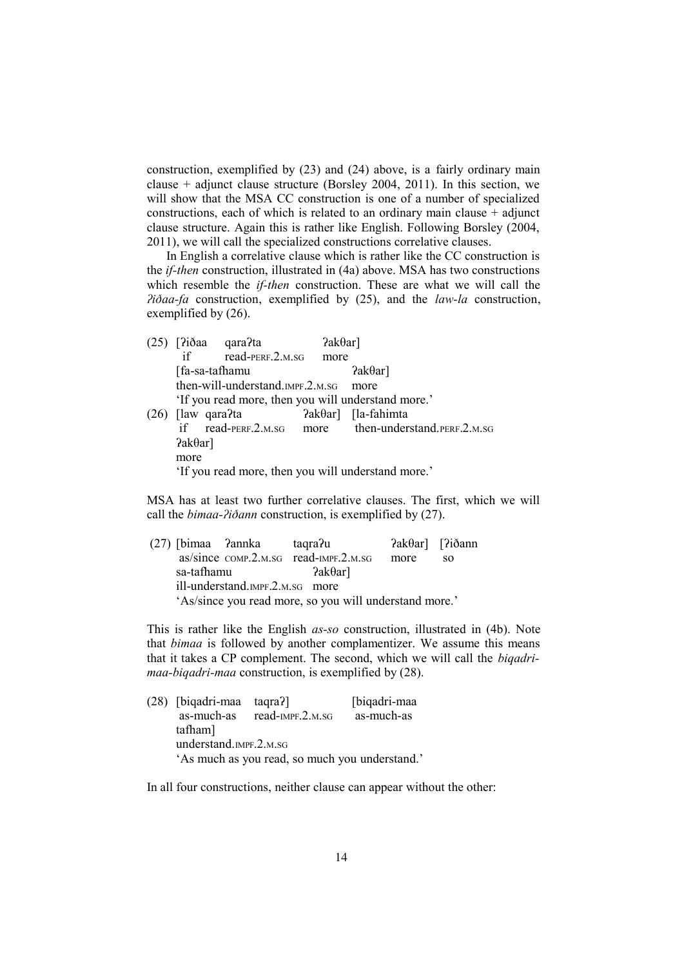construction, exemplified by (23) and (24) above, is a fairly ordinary main clause + adjunct clause structure (Borsley 2004, 2011). In this section, we will show that the MSA CC construction is one of a number of specialized constructions, each of which is related to an ordinary main clause  $+$  adjunct clause structure. Again this is rather like English. Following Borsley (2004, 2011), we will call the specialized constructions correlative clauses.

In English a correlative clause which is rather like the CC construction is the *if-then* construction, illustrated in (4a) above. MSA has two constructions which resemble the *if-then* construction. These are what we will call the *ʔiðaa-fa* construction, exemplified by (25), and the *law-la* construction, exemplified by (26).

| (25) |                | [?iðaa qara?ta                                     | $2ak\thetaar$ ] |                                    |
|------|----------------|----------------------------------------------------|-----------------|------------------------------------|
|      | if             | $read$ -PERF.2.M.SG                                | more            |                                    |
|      |                | [fa-sa-tafhamu                                     |                 | $2ak\thetaar$ ]                    |
|      |                | then-will-understand.jmpF.2.m.sG                   |                 | more                               |
|      |                | 'If you read more, then you will understand more.' |                 |                                    |
| (26) | [law qara?ta]  |                                                    |                 | $\text{2ak}\theta$ ar] [la-fahimta |
|      |                | if read-PERF.2.M.SG                                | more            | then-understand. PERF.2.M.SG       |
|      | $?ak\thetaar]$ |                                                    |                 |                                    |
|      | more           |                                                    |                 |                                    |
|      |                | 'If you read more, then you will understand more.' |                 |                                    |

MSA has at least two further correlative clauses. The first, which we will call the *bimaa-ʔiðann* construction, is exemplified by (27).

 (27) [bimaa ʔannka taqraʔu ʔakθar] [ʔiðann as/since COMP.2.M.SG read-IMPF.2.M.SG more so sa-tafhamu ?akθar] ill-understand.IMPF.2.M.SG more 'As/since you read more, so you will understand more.'

This is rather like the English *as-so* construction, illustrated in (4b). Note that *bimaa* is followed by another complamentizer. We assume this means that it takes a CP complement. The second, which we will call the *biqadrimaa-biqadri-maa* construction, is exemplified by (28).

|                        | (28) [biqadri-maa taqra?]                      |                  | [biqadri-maa |
|------------------------|------------------------------------------------|------------------|--------------|
|                        | as-much-as                                     | read-IMPF.2.M.SG | as-much-as   |
|                        | tafham]                                        |                  |              |
| understand.IMPF.2.M.SG |                                                |                  |              |
|                        | 'As much as you read, so much you understand.' |                  |              |
|                        |                                                |                  |              |

In all four constructions, neither clause can appear without the other: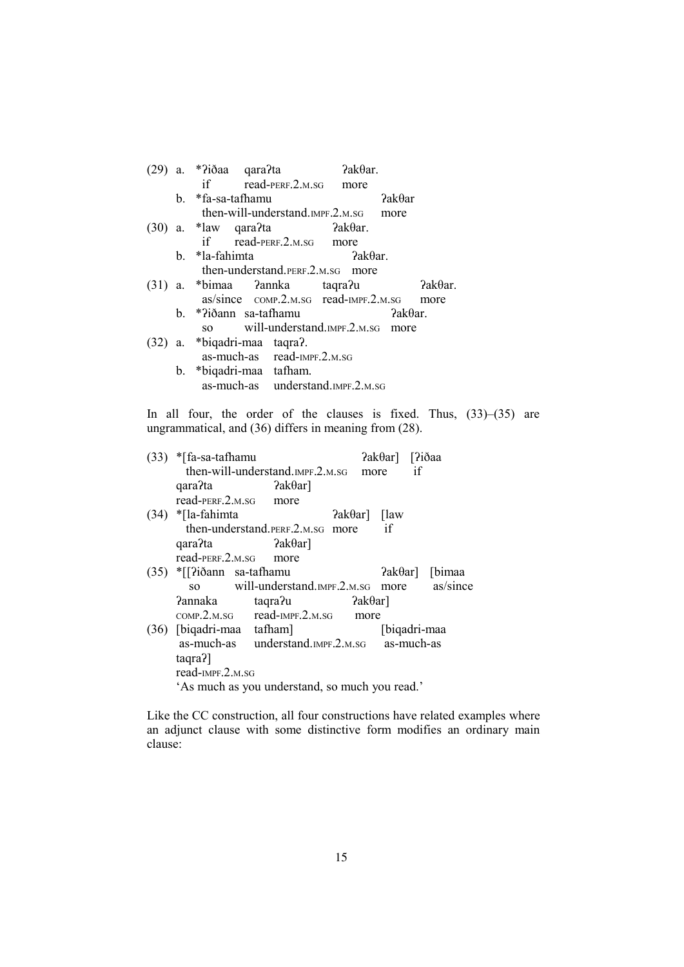|  | $2ak\theta$ ar.<br>a. *?iðaa qara?ta             |                 |  |
|--|--------------------------------------------------|-----------------|--|
|  | if read-PERF.2.M.SG more                         |                 |  |
|  | b. *fa-sa-tafhamu                                | $2ak\theta$ ar  |  |
|  | then-will-understand. IMPF.2.M.SG more           |                 |  |
|  | $2a \kappa \theta$ ar.<br>$(30)$ a. *law qara?ta |                 |  |
|  | if read-PERF.2.M.SG more                         |                 |  |
|  | b. *la-fahimta<br>$2ak\theta$ ar.                |                 |  |
|  | then-understand.perf.2.m.sg more                 |                 |  |
|  | (31) a. *bimaa ?annka taqra?u                    | ?akθar.         |  |
|  | $as/since$ $comP.2.M.SG$ $read-IMPF.2.M.SG$      | more            |  |
|  | b. *?iðann sa-tafhamu                            | $2ak\theta$ ar. |  |
|  | so will-understand.jmpF.2.m.sg more              |                 |  |
|  | (32) a. *biqadri-maa taqra?.                     |                 |  |
|  | as-much-as read-IMPF.2.M.SG                      |                 |  |
|  | b. *biqadri-maa tafham.                          |                 |  |
|  | as-much-as understand.IMPF.2.M.SG                |                 |  |

In all four, the order of the clauses is fixed. Thus, (33)–(35) are ungrammatical, and (36) differs in meaning from (28).

| (33) | *[fa-sa-tafhamu               |                                                |                   | ?akθar] [?iðaa        |    |       |
|------|-------------------------------|------------------------------------------------|-------------------|-----------------------|----|-------|
|      |                               | then-will-understand. IMPF.2.M.SG              | more              |                       | if |       |
|      | qara?ta                       | $2ak\theta$ ar]                                |                   |                       |    |       |
|      | read-PERF.2.M.SG              | more                                           |                   |                       |    |       |
|      | $(34)$ *[la-fahimta           |                                                |                   | $?a\&\theta$ ar] [law |    |       |
|      |                               | then-understand.perf.2.m.sG more               |                   | if                    |    |       |
|      | $qara$ ?ta ?ak $\theta$ ar]   |                                                |                   |                       |    |       |
|      | $read-PERF.2.M.SG$            | more                                           |                   |                       |    |       |
|      | $(35)$ * $[?iðann$ sa-tafhamu |                                                |                   | $?a k \theta ar$ ]    |    | bimaa |
|      |                               | so will-understand.meg.2.m.sq more as/since    |                   |                       |    |       |
|      | <b>Pannaka</b>                | taqra?u                                        | $?a k \theta a r$ |                       |    |       |
|      |                               | $COMP.2.M.SG$ read-IMPF.2.M.SG                 | more              |                       |    |       |
|      | (36) [biqadri-maa tafham]     |                                                |                   | [biqadri-maa          |    |       |
|      |                               | as-much-as understand.IMPF.2.M.SG as-much-as   |                   |                       |    |       |
|      | taqra?]                       |                                                |                   |                       |    |       |
|      | read-IMPF.2.M.SG              |                                                |                   |                       |    |       |
|      |                               | 'As much as you understand, so much you read.' |                   |                       |    |       |

Like the CC construction, all four constructions have related examples where an adjunct clause with some distinctive form modifies an ordinary main clause: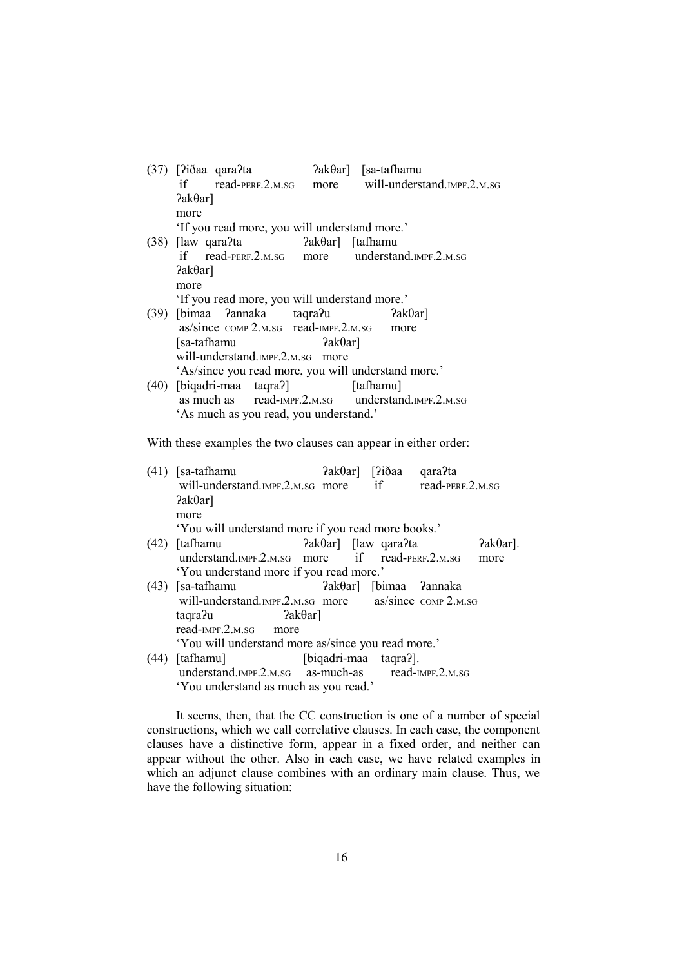| $(37)$ [?iðaa qara?ta<br>$2ak\theta$ ar] [sa-tafhamu            |
|-----------------------------------------------------------------|
| if read-PERF.2.M.SG more will-understand.IMPF.2.M.SG            |
| $?ak\thetaar]$                                                  |
| more                                                            |
| 'If you read more, you will understand more.'                   |
| $(38)$ [law qara?ta]<br>$\text{?ak}\theta$ ar] [tafhamu         |
| if read-PERF.2.M.SG more understand.IMPF.2.M.SG                 |
| $?ak\thetaar]$                                                  |
| more                                                            |
| 'If you read more, you will understand more.'                   |
| $(39)$ [bimaa ?annaka taqra?u ?ak $\theta$ ar]                  |
| as/since comp 2.m.sg read-IMPF.2.m.sg more                      |
| [sa-tafhamu]<br>$2ak\theta$ ar]                                 |
| will-understand.IMPF.2.M.SG more                                |
| 'As/since you read more, you will understand more.'             |
| (40) [biqadri-maa taqra?] [tafhamu]                             |
| as much as read-IMPF.2.M.SG understand.IMPF.2.M.SG              |
| 'As much as you read, you understand.'                          |
|                                                                 |
| With these examples the two clauses can appear in either order: |

| (41) | ?akθar] [?iðaa qara?ta<br>[sa-tafhamu]<br>will-understand.mpF.2.m.sG more if read-PERF.2.m.sG |                       |                  |
|------|-----------------------------------------------------------------------------------------------|-----------------------|------------------|
|      | $?ak\thetaar]$                                                                                |                       |                  |
|      | more                                                                                          |                       |                  |
|      | 'You will understand more if you read more books.'                                            |                       |                  |
| (42) | $2ak\theta$ ar] [law qara?ta<br>[tafhamu                                                      |                       | $2ak\theta$ ar]. |
|      | understand.mpF.2.m.sG more if read-PERF.2.m.sG                                                |                       | more             |
|      | 'You understand more if you read more.'                                                       |                       |                  |
| (43) | ?akθar] [bimaa ?annaka<br>[sa-tafhamu]                                                        |                       |                  |
|      | will-understand.nMPF.2.M.SG more as/since COMP 2.M.SG                                         |                       |                  |
|      | $2ak\theta$ ar]<br>taqra?u                                                                    |                       |                  |
|      | $read$ -IMPF. $2.M.SG$<br>more                                                                |                       |                  |
|      | 'You will understand more as/since you read more.'                                            |                       |                  |
| (44) | [tafhamu]                                                                                     | [biqadri-maa taqra?]. |                  |
|      | understand.mpF.2.m.sG as-much-as read-IMPF.2.m.sG                                             |                       |                  |
|      | 'You understand as much as you read.'                                                         |                       |                  |

It seems, then, that the CC construction is one of a number of special constructions, which we call correlative clauses. In each case, the component clauses have a distinctive form, appear in a fixed order, and neither can appear without the other. Also in each case, we have related examples in which an adjunct clause combines with an ordinary main clause. Thus, we have the following situation: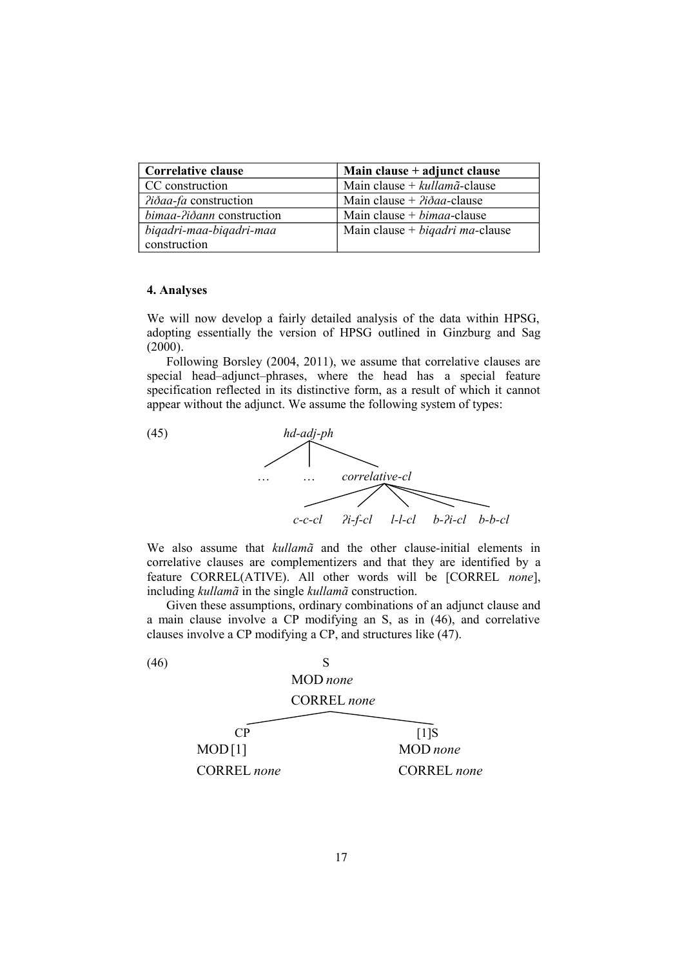| <b>Correlative clause</b>    | Main clause + adjunct clause                    |
|------------------------------|-------------------------------------------------|
| CC construction              | Main clause + $kullam\tilde{a}$ -clause         |
| <i>Piðaa-fa</i> construction | Main clause + $\partial \dot{\theta}$ aa-clause |
| bimaa-?iðann construction    | Main clause $+ bimaa$ -clause                   |
| biqadri-maa-biqadri-maa      | Main clause + $bigadri$ ma-clause               |
| construction                 |                                                 |

### **4. Analyses**

We will now develop a fairly detailed analysis of the data within HPSG, adopting essentially the version of HPSG outlined in Ginzburg and Sag (2000).

Following Borsley (2004, 2011), we assume that correlative clauses are special head–adjunct–phrases, where the head has a special feature specification reflected in its distinctive form, as a result of which it cannot appear without the adjunct. We assume the following system of types:



We also assume that *kullamã* and the other clause-initial elements in correlative clauses are complementizers and that they are identified by a feature CORREL(ATIVE). All other words will be [CORREL *none*], including *kullamã* in the single *kullamã* construction.

Given these assumptions, ordinary combinations of an adjunct clause and a main clause involve a CP modifying an S, as in (46), and correlative clauses involve a CP modifying a CP, and structures like (47).

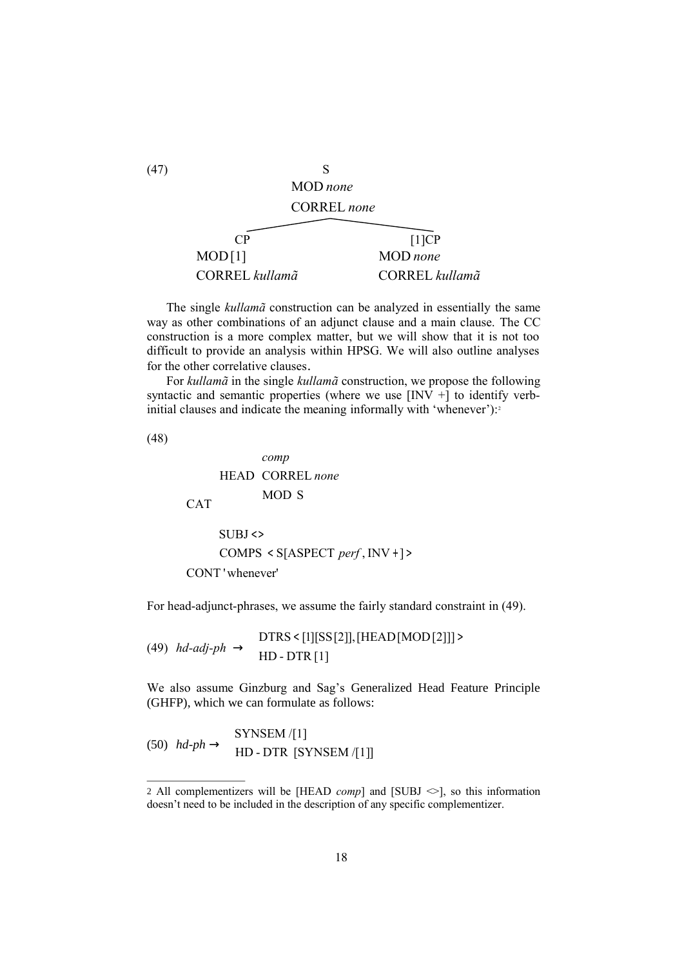

The single *kullamã* construction can be analyzed in essentially the same way as other combinations of an adjunct clause and a main clause. The CC construction is a more complex matter, but we will show that it is not too difficult to provide an analysis within HPSG. We will also outline analyses for the other correlative clauses.

For *kullamã* in the single *kullamã* construction, we propose the following syntactic and semantic properties (where we use  $[INV +]$  to identify verbinitial clauses and indicate the meaning informally with 'whenever'):<sup>2</sup>

(48)

$$
\begin{bmatrix}\n\begin{bmatrix}\n\text{HEAD} & \begin{bmatrix} \text{comp} \\
\text{CORREL none} \\
\text{MOD S}\n\end{bmatrix} \\
\begin{bmatrix}\n\text{SUBJ} <> \\
\text{COMPS} < \text{S[ASPECT } perf, \text{INV} + 1 \end{bmatrix}\n\end{bmatrix}\n\end{bmatrix}
$$

For head-adjunct-phrases, we assume the fairly standard constraint in (49).

 $(49)$  *hd-adj-ph*  $\rightarrow$   $\begin{array}{|l}$   $\downarrow$   $\downarrow$   $\downarrow$   $\downarrow$   $\downarrow$   $\downarrow$   $\downarrow$   $\downarrow$   $\downarrow$   $\downarrow$   $\downarrow$   $\downarrow$   $\downarrow$   $\downarrow$   $\downarrow$   $\downarrow$   $\downarrow$   $\downarrow$   $\downarrow$   $\downarrow$   $\downarrow$   $\downarrow$   $\downarrow$   $\downarrow$   $\downarrow$   $\downarrow$   $\downarrow$   $\downarrow$   $\downarrow$   $\downarrow$   $\downarrow$  L  $\downarrow$ L L  $|$  DTRS<  $|1||$ SS $|2||$ ,  $|HEAD|$ MOD $|2||1$ HD - DTR [1] DTRS [1][SS[2]],[HEAD[MOD[2]]]

We also assume Ginzburg and Sag's Generalized Head Feature Principle (GHFP), which we can formulate as follows:

$$
(50) \quad hd\text{-}ph \to \begin{bmatrix} \text{SYNSEM} / [1] \\ \text{HD-DTR} & \text{SYNSEM} / [1] \end{bmatrix}
$$

18

<sup>2</sup> All complementizers will be [HEAD *comp*] and [SUBJ  $\Diamond$ ], so this information doesn't need to be included in the description of any specific complementizer.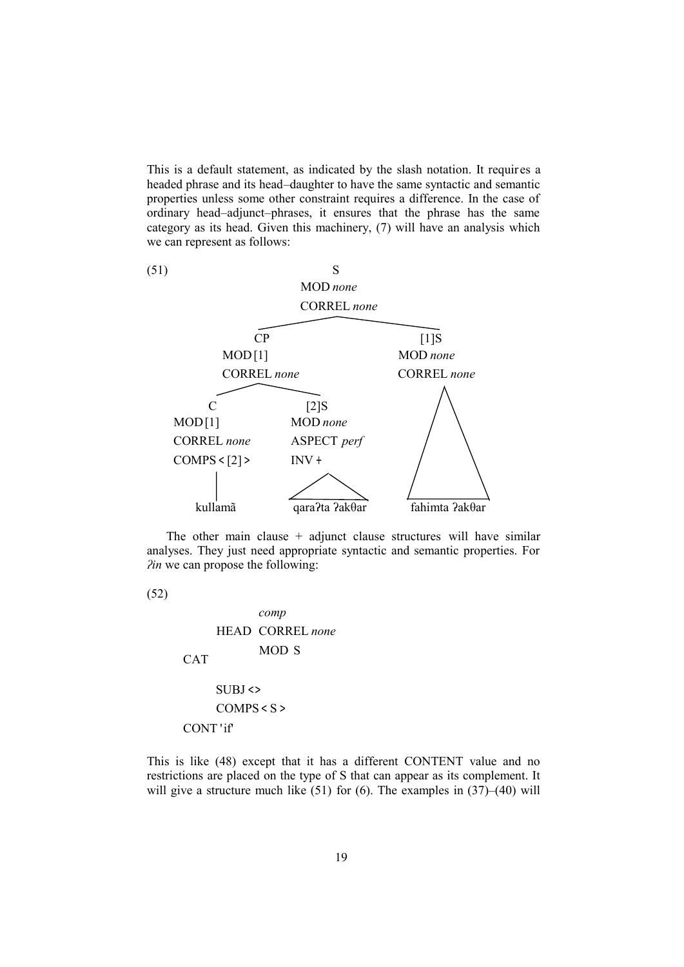This is a default statement, as indicated by the slash notation. It requires a headed phrase and its head–daughter to have the same syntactic and semantic properties unless some other constraint requires a difference. In the case of ordinary head–adjunct–phrases, it ensures that the phrase has the same category as its head. Given this machinery, (7) will have an analysis which we can represent as follows:



The other main clause  $+$  adjunct clause structures will have similar analyses. They just need appropriate syntactic and semantic properties. For *ʔin* we can propose the following:

(52)  $\mathbf{I}$  $\overline{\phantom{a}}$  $\downarrow$  $\downarrow$  $\downarrow$  $\downarrow$  $\downarrow$  $\downarrow$  $\downarrow$  $\downarrow$ J  $\downarrow$  CONT 'if' L L L L L CAT L L L L  $\mathbf{I}$  $\mathbf{I}$  $\mathbf{I}$  $\mathbf{I}$  $\mathbf{I}$  $\mathbf{I}$  $\downarrow$  $\downarrow$ L  $\downarrow$  $\vert$  COMPS < S > L  $\vert$  SUBJ  $\langle \rangle$ L L L L HEAD CORREL none L  $\mathbf{I}$  $\mathbf{I}$ J  $\mathbf{I}$  $\mathsf{I}$ L MOD S *comp*

This is like (48) except that it has a different CONTENT value and no restrictions are placed on the type of S that can appear as its complement. It will give a structure much like (51) for (6). The examples in (37)–(40) will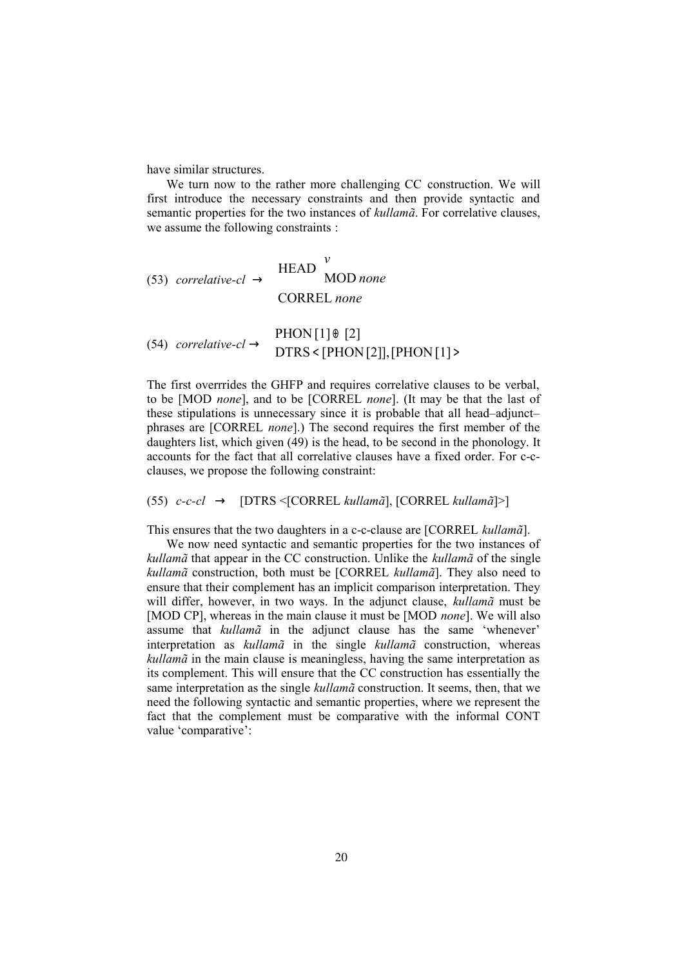have similar structures.

We turn now to the rather more challenging CC construction. We will first introduce the necessary constraints and then provide syntactic and semantic properties for the two instances of *kullamã*. For correlative clauses, we assume the following constraints :

(53) *correlative-cl* 
$$
\rightarrow
$$
  $\begin{bmatrix} \text{HEAD} & v \\ \text{MOD none} & \end{bmatrix}$   
\n(54) *correlative-cl*  $\rightarrow$   $\begin{bmatrix} \text{PHON}[1] \oplus [2] \\ \text{DTRS} & \text{[PHON}[2]], [\text{PHON}[1] \triangleright] \end{bmatrix}$ 

The first overrrides the GHFP and requires correlative clauses to be verbal, to be [MOD *none*], and to be [CORREL *none*]. (It may be that the last of these stipulations is unnecessary since it is probable that all head–adjunct– phrases are [CORREL *none*].) The second requires the first member of the daughters list, which given (49) is the head, to be second in the phonology. It accounts for the fact that all correlative clauses have a fixed order. For c-cclauses, we propose the following constraint:

J  $\overline{1}$ 

(55) *c-c-cl* → [DTRS <[CORREL *kullamã*], [CORREL *kullamã*]>]

This ensures that the two daughters in a c-c-clause are [CORREL *kullamã*].

We now need syntactic and semantic properties for the two instances of *kullamã* that appear in the CC construction. Unlike the *kullamã* of the single *kullamã* construction, both must be [CORREL *kullamã*]. They also need to ensure that their complement has an implicit comparison interpretation. They will differ, however, in two ways. In the adjunct clause, *kullamã* must be [MOD CP], whereas in the main clause it must be [MOD *none*]. We will also assume that *kullamã* in the adjunct clause has the same 'whenever' interpretation as *kullamã* in the single *kullamã* construction, whereas *kullamã* in the main clause is meaningless, having the same interpretation as its complement. This will ensure that the CC construction has essentially the same interpretation as the single *kullamã* construction. It seems, then, that we need the following syntactic and semantic properties, where we represent the fact that the complement must be comparative with the informal CONT value 'comparative':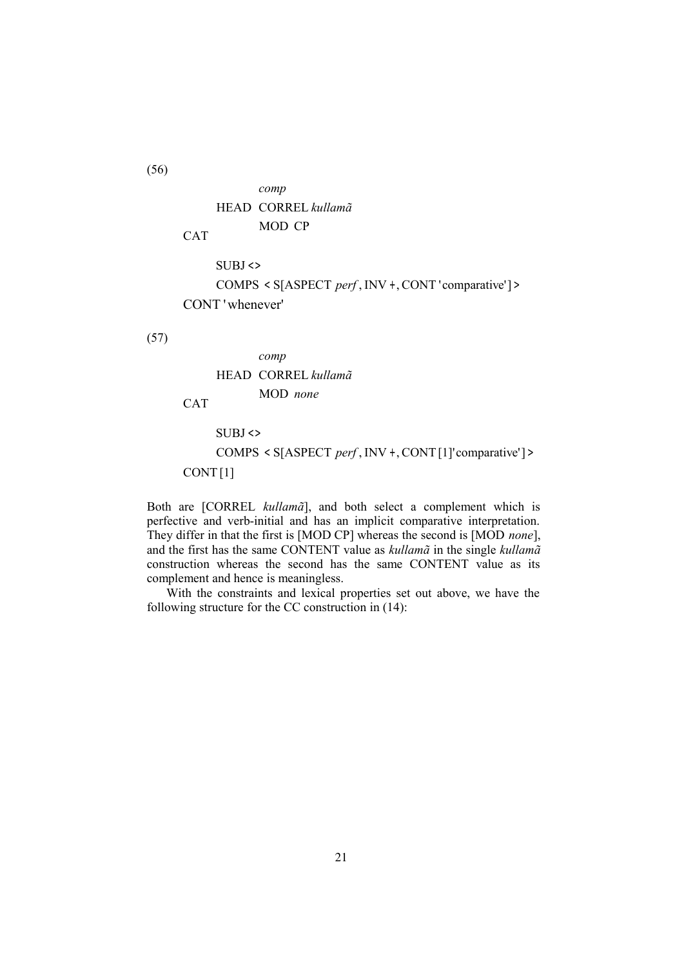

Both are [CORREL *kullamã*], and both select a complement which is perfective and verb-initial and has an implicit comparative interpretation. They differ in that the first is [MOD CP] whereas the second is [MOD *none*], and the first has the same CONTENT value as *kullamã* in the single *kullamã* construction whereas the second has the same CONTENT value as its complement and hence is meaningless.

With the constraints and lexical properties set out above, we have the following structure for the CC construction in (14):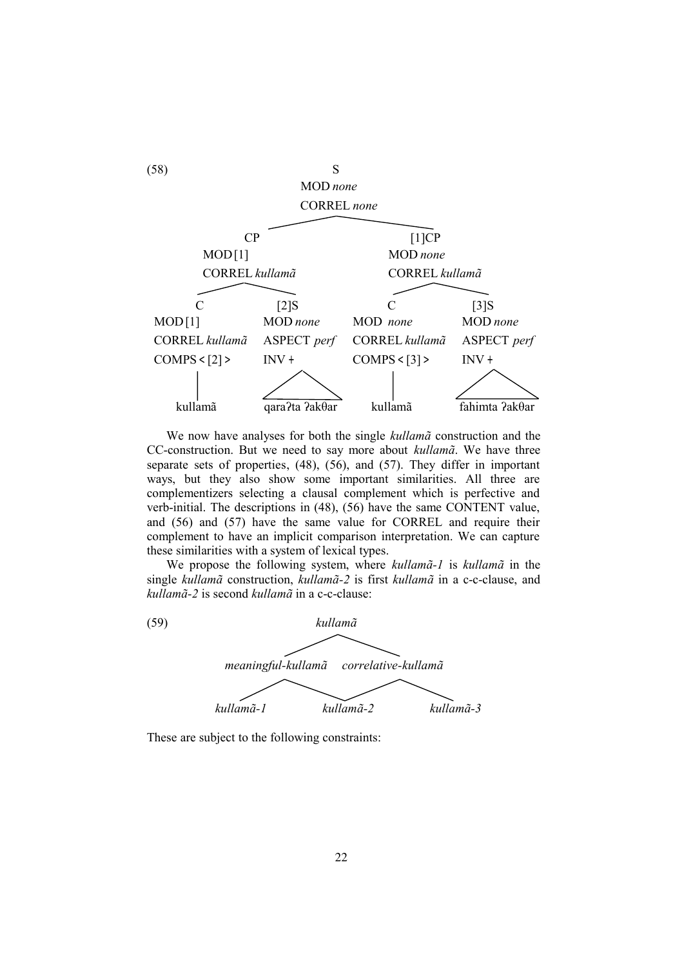

We now have analyses for both the single *kullamã* construction and the CC-construction. But we need to say more about *kullamã*. We have three separate sets of properties, (48), (56), and (57). They differ in important ways, but they also show some important similarities. All three are complementizers selecting a clausal complement which is perfective and verb-initial. The descriptions in (48), (56) have the same CONTENT value, and (56) and (57) have the same value for CORREL and require their complement to have an implicit comparison interpretation. We can capture these similarities with a system of lexical types.

We propose the following system, where *kullamã-1* is *kullamã* in the single *kullamã* construction, *kullamã-2* is first *kullamã* in a c-c-clause, and *kullamã-2* is second *kullamã* in a c-c-clause:



These are subject to the following constraints: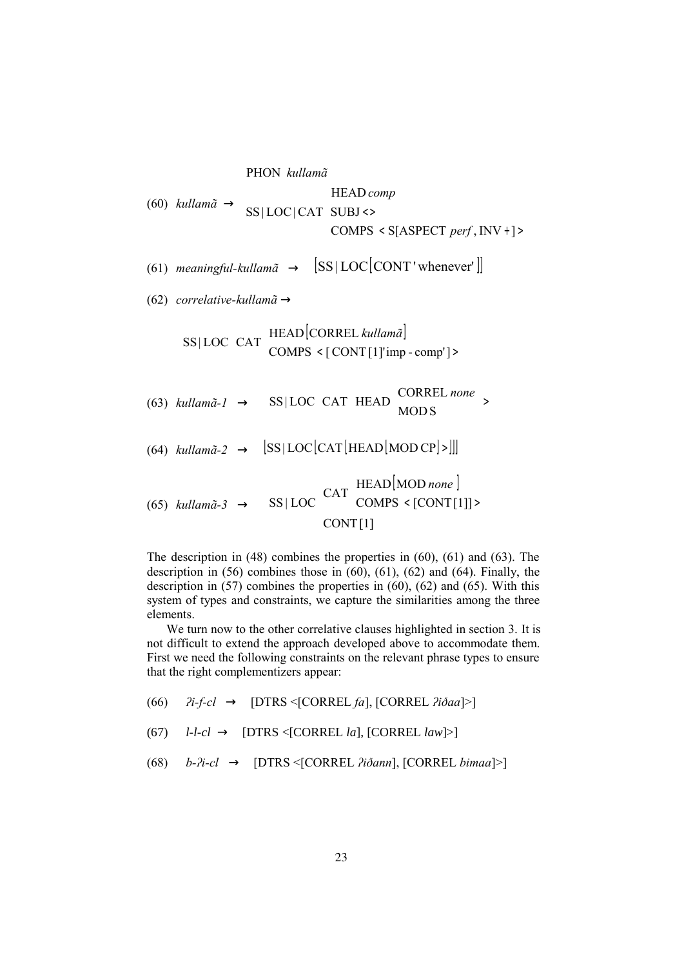(60) 
$$
kullam\tilde{a} \rightarrow \begin{bmatrix} \text{PHON } \text{kullam}\tilde{a} \\ \text{SS}|\text{LOC}|\text{CAT} \end{bmatrix} \begin{bmatrix} \text{HEAD } comp \\ \text{SUBJ} \leftrightarrow \\ \text{COMPS} \times \text{S}[\text{ASPECT } perf, \text{INV} + \text{]} \end{bmatrix}
$$

(61) *meaningful-kullamã*  $\rightarrow$   $|SS|LOC[CONT'whenever']|$ 

(62) *correlative-kullamã* →

$$
\begin{bmatrix}\n\text{SS}|\text{LOC}\left[\text{CAT}\left[\text{HEAD}[\text{CORREL}\text{ \textit{kullam}\tilde{a}}]\right]\right]\n\end{bmatrix}
$$
\n(63) *kullam* $\tilde{a}$ -1  $\rightarrow$  
$$
\begin{bmatrix}\n\text{SS}|\text{LOC}\left[\text{CAT}\left[\text{HEAD}\left[\text{CORREL}\text{ none}\right]\right]\right]\n\end{bmatrix}
$$
\n(64) *kullam* $\tilde{a}$ -2  $\rightarrow$  
$$
\begin{bmatrix}\n\text{SS}|\text{LOC}\left[\text{CAT}\left[\text{HEAD}\left[\text{MOD CP}\right]\right]\right]\n\end{bmatrix}
$$
\n(65) *kullam* $\tilde{a}$ -3  $\rightarrow$  
$$
\begin{bmatrix}\n\text{SS}|\text{LOC}\left[\text{CAT}\left[\text{HEAD}\left[\text{MOD none}\right]\right]\right]\n\end{bmatrix}
$$
\n(66) *kullam* $\tilde{a}$ -3  $\rightarrow$  
$$
\begin{bmatrix}\n\text{SS}|\text{LOC}\left[\text{CAT}\left[\text{HEAD}\left[\text{MOD none}\right]\right]\right]\n\end{bmatrix}
$$
\n(67)

The description in (48) combines the properties in (60), (61) and (63). The description in (56) combines those in (60), (61), (62) and (64). Finally, the description in (57) combines the properties in (60), (62) and (65). With this system of types and constraints, we capture the similarities among the three elements.

We turn now to the other correlative clauses highlighted in section 3. It is not difficult to extend the approach developed above to accommodate them. First we need the following constraints on the relevant phrase types to ensure that the right complementizers appear:

(66) *ʔi-f-cl* → [DTRS <[CORREL *fa*], [CORREL *ʔiðaa*]>]

- (67)  $l-l-cl \rightarrow [DTRS < [CORREL \, la], [CORREL \, law] > ]$
- (68) *b-ʔi-cl* → [DTRS <[CORREL *ʔiðann*], [CORREL *bimaa*]>]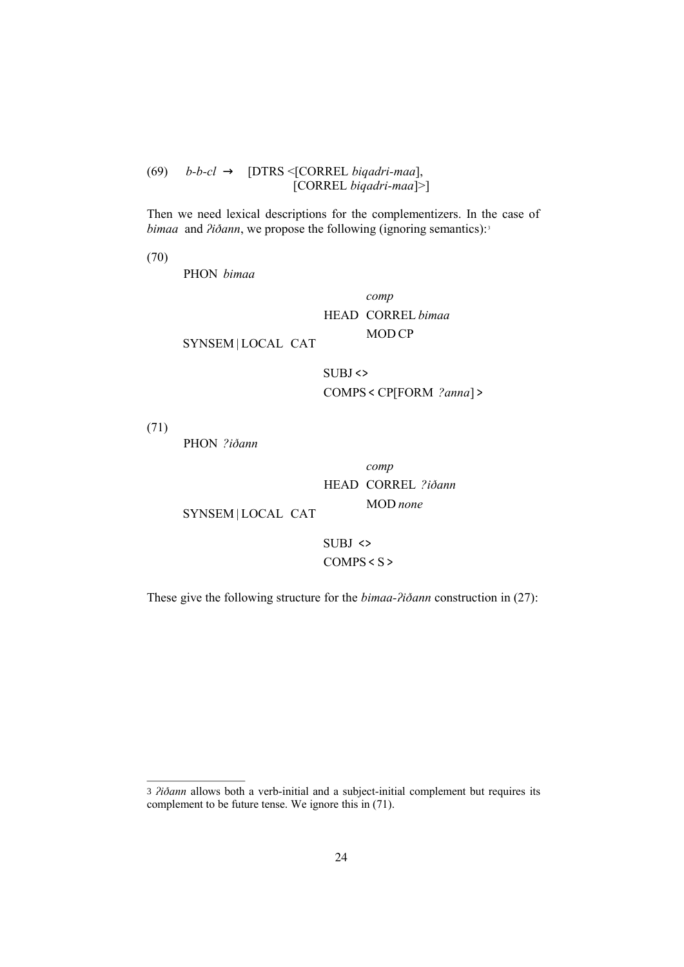(69) *b-b-cl* → [DTRS <[CORREL *biqadri-maa*], [CORREL *biqadri-maa*]>]

Then we need lexical descriptions for the complementizers. In the case of *bimaa* and *<i><i>Aidann*, we propose the following (ignoring semantics):<sup>3</sup>



These give the following structure for the *bimaa-ʔiðann* construction in (27):

<sup>3</sup> *ʔiðann* allows both a verb-initial and a subject-initial complement but requires its complement to be future tense. We ignore this in (71).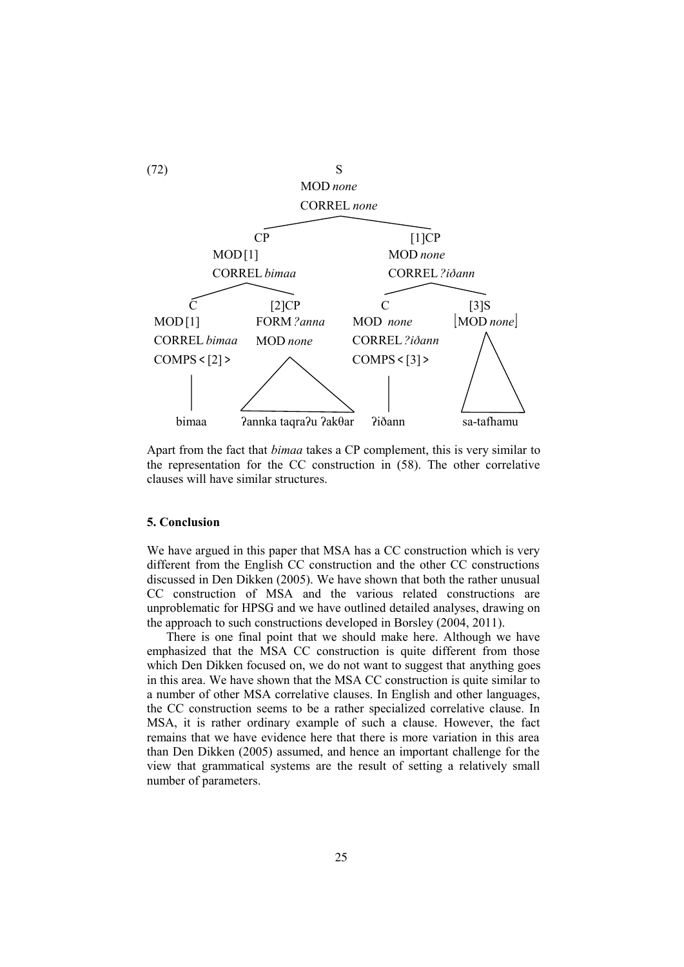

Apart from the fact that *bimaa* takes a CP complement, this is very similar to the representation for the CC construction in (58). The other correlative clauses will have similar structures.

### **5. Conclusion**

We have argued in this paper that MSA has a CC construction which is very different from the English CC construction and the other CC constructions discussed in Den Dikken (2005). We have shown that both the rather unusual CC construction of MSA and the various related constructions are unproblematic for HPSG and we have outlined detailed analyses, drawing on the approach to such constructions developed in Borsley (2004, 2011).

There is one final point that we should make here. Although we have emphasized that the MSA CC construction is quite different from those which Den Dikken focused on, we do not want to suggest that anything goes in this area. We have shown that the MSA CC construction is quite similar to a number of other MSA correlative clauses. In English and other languages, the CC construction seems to be a rather specialized correlative clause. In MSA, it is rather ordinary example of such a clause. However, the fact remains that we have evidence here that there is more variation in this area than Den Dikken (2005) assumed, and hence an important challenge for the view that grammatical systems are the result of setting a relatively small number of parameters.